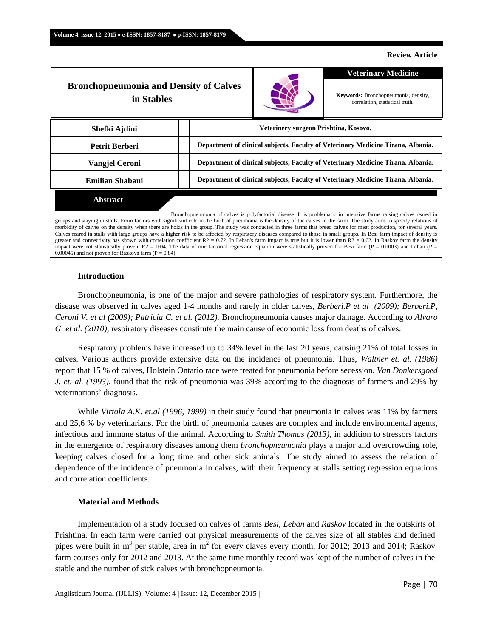#### **Review Article**

| <b>Bronchopneumonia and Density of Calves</b><br>in Stables |                                                                                  |  | <b>Veterinary Medicine</b>                                                                                                                                                                                                    |  |  |
|-------------------------------------------------------------|----------------------------------------------------------------------------------|--|-------------------------------------------------------------------------------------------------------------------------------------------------------------------------------------------------------------------------------|--|--|
|                                                             |                                                                                  |  | Keywords: Bronchopneumonia, density,<br>correlation, statistical truth.                                                                                                                                                       |  |  |
| Shefki Ajdini                                               | Veterinery surgeon Prishtina, Kosovo.                                            |  |                                                                                                                                                                                                                               |  |  |
| Petrit Berberi                                              | Department of clinical subjects, Faculty of Veterinary Medicine Tirana, Albania. |  |                                                                                                                                                                                                                               |  |  |
| <b>Vangiel Ceroni</b>                                       | Department of clinical subjects, Faculty of Veterinary Medicine Tirana, Albania. |  |                                                                                                                                                                                                                               |  |  |
| <b>Emilian Shabani</b>                                      | Department of clinical subjects, Faculty of Veterinary Medicine Tirana, Albania. |  |                                                                                                                                                                                                                               |  |  |
| <b>Abstract</b>                                             |                                                                                  |  | . A set of a set of the set of the set of the set of the set of the set of the set of the set of the set of the set of the set of the set of the set of the set of the set of the set of the set of the set of the set of the |  |  |

Bronchopneumonia of calves is polyfactorial disease. It is problematic in intensive farms raising calves reared in groups and staying in stalls. From factors with significant role in the birth of pneumonia is the density of the calves in the farm. The study aims to specify relations of morbidity of calves on the density when there are holds in the group. The study was conducted in three farms that breed calves for meat production, for several years. Calves reared in stalls with large groups have a higher risk to be affected by respiratory diseases compared to those in small groups. In Besi farm impact of density is greater and connectivity has shown with correlation coefficient  $R2 = 0.72$ . In Leban's farm impact is true but it is lower than  $R2 = 0.62$ . In Raskov farm the density impact were not statistically proven,  $R2 = 0.04$ . The data of one factorial regression equation were statistically proven for Besi farm (P = 0.0003) and Leban (P = 0.00045) and not proven for Raskova farm ( $P = 0.84$ ).

#### **Introduction**

Bronchopneumonia, is one of the major and severe pathologies of respiratory system. Furthermore, the disease was observed in calves aged 1-4 months and rarely in older calves, *Berberi.P et al (2009); Berberi.P, Ceroni V. et al (2009); Patricia C. et al. (2012).* Bronchopneumonia causes major damage. According to *Alvaro G. et al.* (2010), respiratory diseases constitute the main cause of economic loss from deaths of calves.

Respiratory problems have increased up to 34% level in the last 20 years, causing 21% of total losses in calves. Various authors provide extensive data on the incidence of pneumonia. Thus, *Waltner et. al. (1986)* report that 15 % of calves, Holstein Ontario race were treated for pneumonia before secession. *Van Donkersgoed J. et. al. (1993)*, found that the risk of pneumonia was 39% according to the diagnosis of farmers and 29% by veterinarians' diagnosis.

While *Virtola A.K. et.al (1996, 1999)* in their study found that pneumonia in calves was 11% by farmers and 25,6 % by veterinarians. For the birth of pneumonia causes are complex and include environmental agents, infectious and immune status of the animal. According to *Smith Thomas (2013),* in addition to stressors factors in the emergence of respiratory diseases among them *bronchopneumonia* plays a major and overcrowding role, keeping calves closed for a long time and other sick animals. The study aimed to assess the relation of dependence of the incidence of pneumonia in calves, with their frequency at stalls setting regression equations and correlation coefficients.

## **Material and Methods**

Implementation of a study focused on calves of farms *Besi*, *Leban* and *Raskov* located in the outskirts of Prishtina. In each farm were carried out physical measurements of the calves size of all stables and defined pipes were built in m<sup>3</sup> per stable, area in m<sup>2</sup> for every claves every month, for 2012; 2013 and 2014; Raskov farm courses only for 2012 and 2013. At the same time monthly record was kept of the number of calves in the stable and the number of sick calves with bronchopneumonia.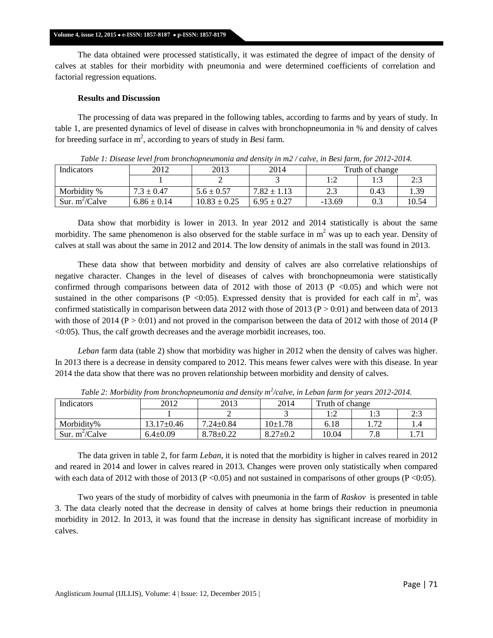### **Volume 4, issue 12, 2015 e-ISSN: 1857-8187 p-ISSN: 1857-8179**

The data obtained were processed statistically, it was estimated the degree of impact of the density of calves at stables for their morbidity with pneumonia and were determined coefficients of correlation and factorial regression equations.

# **Results and Discussion**

The processing of data was prepared in the following tables, according to farms and by years of study. In table 1, are presented dynamics of level of disease in calves with bronchopneumonia in % and density of calves for breeding surface in  $m^2$ , according to years of study in *Besi* farm.

| Indicators       | 2012            | 2013             | 2014            | Truth of change |      |       |
|------------------|-----------------|------------------|-----------------|-----------------|------|-------|
|                  |                 |                  |                 | 1.7<br>         |      | 2:3   |
| Morbidity %      | $7.3 \pm 0.47$  | $5.6 \pm 0.57$   | $7.82 \pm 1.13$ | 2.3             | 0.43 | 1.39  |
| Sur. $m^2/Calve$ | $6.86 \pm 0.14$ | $10.83 \pm 0.25$ | $6.95 \pm 0.27$ | $-13.69$        |      | 10.54 |

*Table 1: Disease level from bronchopneumonia and density in m2 / calve, in Besi farm, for 2012-2014.*

Data show that morbidity is lower in 2013. In year 2012 and 2014 statistically is about the same morbidity. The same phenomenon is also observed for the stable surface in  $m<sup>2</sup>$  was up to each year. Density of calves at stall was about the same in 2012 and 2014. The low density of animals in the stall was found in 2013.

These data show that between morbidity and density of calves are also correlative relationships of negative character. Changes in the level of diseases of calves with bronchopneumonia were statistically confirmed through comparisons between data of  $2012$  with those of  $2013$  (P <0.05) and which were not sustained in the other comparisons (P < 0:05). Expressed density that is provided for each calf in  $m^2$ , was confirmed statistically in comparison between data 2012 with those of 2013 ( $P > 0.01$ ) and between data of 2013 with those of 2014 ( $P > 0.01$ ) and not proved in the comparison between the data of 2012 with those of 2014 ( $P$ ) <0:05). Thus, the calf growth decreases and the average morbidit increases, too.

*Leban* farm data (table 2) show that morbidity was higher in 2012 when the density of calves was higher. In 2013 there is a decrease in density compared to 2012. This means fewer calves were with this disease. In year 2014 the data show that there was no proven relationship between morbidity and density of calves.

| <b>Indicators</b> | 2012           | 2013            | 2014           | Truth of change |                          |   |
|-------------------|----------------|-----------------|----------------|-----------------|--------------------------|---|
|                   |                |                 |                | 1. 1<br>.       | ر…                       | ر |
| Morbidity%        | 13.17±0.46     | $7.24 \pm 0.84$ | $10{\pm}1.78$  | 6.18            | $\overline{\phantom{a}}$ |   |
| Sur. $m^2/Calve$  | $6.4 \pm 0.09$ | $8.78 \pm 0.22$ | $8.27 \pm 0.2$ | 10.04           | $\sim$ $\sim$<br>۰.      |   |

*Table 2: Morbidity from bronchopneumonia and density m<sup>2</sup> /calve, in Leban farm for years 2012-2014.*

The data griven in table 2, for farm *Leban*, it is noted that the morbidity is higher in calves reared in 2012 and reared in 2014 and lower in calves reared in 2013. Changes were proven only statistically when compared with each data of 2012 with those of 2013 (P < 0.05) and not sustained in comparisons of other groups (P < 0.05).

Two years of the study of morbidity of calves with pneumonia in the farm of *Raskov* is presented in table 3. The data clearly noted that the decrease in density of calves at home brings their reduction in pneumonia morbidity in 2012. In 2013, it was found that the increase in density has significant increase of morbidity in calves.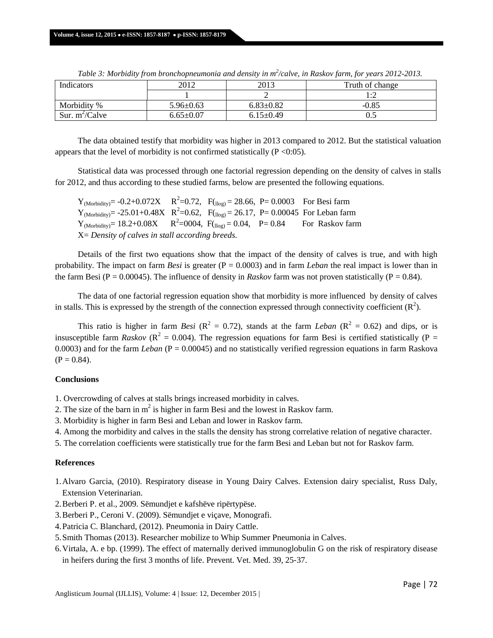| Indicators        | 2012            | 2013            | Truth of change |  |  |
|-------------------|-----------------|-----------------|-----------------|--|--|
|                   |                 |                 | . .∼            |  |  |
| Morbidity %       | $5.96 \pm 0.63$ | $6.83 \pm 0.82$ | $-0.85$         |  |  |
| Sur. $m^2$ /Calve | $6.65 \pm 0.07$ | $6.15 \pm 0.49$ | U.J             |  |  |

*Table 3: Morbidity from bronchopneumonia and density in m<sup>2</sup> /calve, in Raskov farm, for years 2012-2013.*

The data obtained testify that morbidity was higher in 2013 compared to 2012. But the statistical valuation appears that the level of morbidity is not confirmed statistically ( $P \le 0.05$ ).

Statistical data was processed through one factorial regression depending on the density of calves in stalls for 2012, and thus according to these studied farms, below are presented the following equations.

 $Y_{(Morbidity)} = -0.2 + 0.072X$   $R^2 = 0.72$ ,  $F_{(log)} = 28.66$ ,  $P = 0.0003$  For Besi farm  $Y_{(Morbidity)} = -25.01 + 0.48X$   $R^2 = 0.62$ ,  $F_{(llog)} = 26.17$ ,  $P = 0.00045$  For Leban farm  $Y_{(Morbidity)} = 18.2 + 0.08X$ <sup>2</sup>=0004,  $F_{(log)} = 0.04$ , P= 0.84 For Raskov farm X= *Density of calves in stall according breeds.*

Details of the first two equations show that the impact of the density of calves is true, and with high probability. The impact on farm *Besi* is greater (P = 0.0003) and in farm *Leban* the real impact is lower than in the farm Besi (P = 0.00045). The influence of density in *Raskov* farm was not proven statistically (P = 0.84).

The data of one factorial regression equation show that morbidity is more influenced by density of calves in stalls. This is expressed by the strength of the connection expressed through connectivity coefficient  $(R^2)$ .

This ratio is higher in farm *Besi* ( $\mathbb{R}^2 = 0.72$ ), stands at the farm *Leban* ( $\mathbb{R}^2 = 0.62$ ) and dips, or is insusceptible farm *Raskov* ( $R^2 = 0.004$ ). The regression equations for farm Besi is certified statistically ( $P =$ 0.0003) and for the farm *Leban* (P = 0.00045) and no statistically verified regression equations in farm Raskova  $(P = 0.84)$ .

## **Conclusions**

- 1. Overcrowding of calves at stalls brings increased morbidity in calves.
- 2. The size of the barn in  $m^2$  is higher in farm Besi and the lowest in Raskov farm.
- 3. Morbidity is higher in farm Besi and Leban and lower in Raskov farm.
- 4. Among the morbidity and calves in the stalls the density has strong correlative relation of negative character.
- 5. The correlation coefficients were statistically true for the farm Besi and Leban but not for Raskov farm.

# **References**

- 1.Alvaro Garcia, (2010). Respiratory disease in Young Dairy Calves. Extension dairy specialist, Russ Daly, Extension Veterinarian.
- 2.Berberi P. et al., 2009. Sëmundjet e kafshëve ripërtypëse.
- 3.Berberi P., Ceroni V. (2009). Sëmundjet e viçave, Monografi.
- 4.Patricia C. Blanchard, (2012). Pneumonia in Dairy Cattle.
- 5.Smith Thomas (2013). Researcher mobilize to Whip Summer Pneumonia in Calves.
- 6.Virtala, A. e bp. (1999). The effect of maternally derived immunoglobulin G on the risk of respiratory disease in heifers during the first 3 months of life. Prevent. Vet. Med. 39, 25‐37.